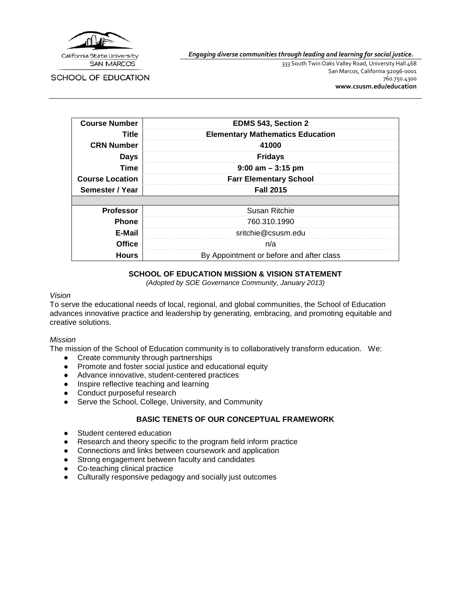

*Engaging diverse communities through leading and learning for social justice.*

SCHOOL OF EDUCATION

333 South Twin Oaks Valley Road, University Hall 468 San Marcos, California 92096-0001 760.750.4300 **[www.csusm.edu/education](http://www.csusm.edu/education)**

| <b>Course Number</b>   | EDMS 543, Section 2                      |
|------------------------|------------------------------------------|
| Title                  | <b>Elementary Mathematics Education</b>  |
| <b>CRN Number</b>      | 41000                                    |
| <b>Days</b>            | <b>Fridays</b>                           |
| <b>Time</b>            | $9:00$ am $-3:15$ pm                     |
| <b>Course Location</b> | <b>Farr Elementary School</b>            |
| Semester / Year        | <b>Fall 2015</b>                         |
|                        |                                          |
| <b>Professor</b>       | Susan Ritchie                            |
| <b>Phone</b>           | 760.310.1990                             |
| E-Mail                 | sritchie@csusm.edu                       |
| <b>Office</b>          | n/a                                      |
| <b>Hours</b>           | By Appointment or before and after class |

### **SCHOOL OF EDUCATION MISSION & VISION STATEMENT**

*(Adopted by SOE Governance Community, January 2013)*

#### *Vision*

To serve the educational needs of local, regional, and global communities, the School of Education advances innovative practice and leadership by generating, embracing, and promoting equitable and creative solutions.

#### *Mission*

The mission of the School of Education community is to collaboratively transform education. We:

- Create community through partnerships
- Promote and foster social justice and educational equity
- Advance innovative, student-centered practices
- Inspire reflective teaching and learning
- Conduct purposeful research
- Serve the School, College, University, and Community

#### **BASIC TENETS OF OUR CONCEPTUAL FRAMEWORK**

- Student centered education
- Research and theory specific to the program field inform practice
- Connections and links between coursework and application
- Strong engagement between faculty and candidates
- Co-teaching clinical practice
- Culturally responsive pedagogy and socially just outcomes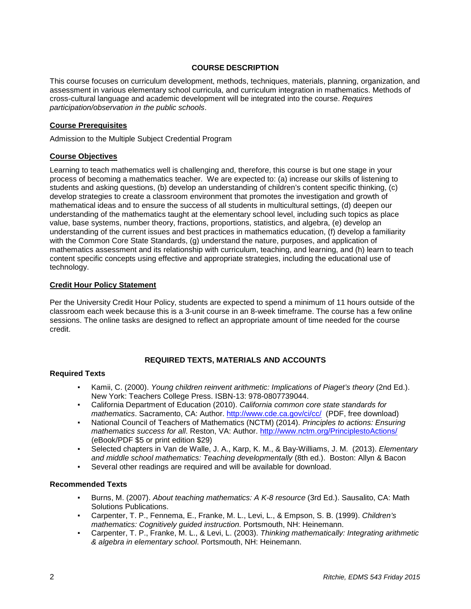## **COURSE DESCRIPTION**

This course focuses on curriculum development, methods, techniques, materials, planning, organization, and assessment in various elementary school curricula, and curriculum integration in mathematics. Methods of cross-cultural language and academic development will be integrated into the course. *Requires participation/observation in the public schools*.

### **Course Prerequisites**

Admission to the Multiple Subject Credential Program

### **Course Objectives**

Learning to teach mathematics well is challenging and, therefore, this course is but one stage in your process of becoming a mathematics teacher. We are expected to: (a) increase our skills of listening to students and asking questions, (b) develop an understanding of children's content specific thinking, (c) develop strategies to create a classroom environment that promotes the investigation and growth of mathematical ideas and to ensure the success of all students in multicultural settings, (d) deepen our understanding of the mathematics taught at the elementary school level, including such topics as place value, base systems, number theory, fractions, proportions, statistics, and algebra, (e) develop an understanding of the current issues and best practices in mathematics education, (f) develop a familiarity with the Common Core State Standards, (g) understand the nature, purposes, and application of mathematics assessment and its relationship with curriculum, teaching, and learning, and (h) learn to teach content specific concepts using effective and appropriate strategies, including the educational use of technology.

### **Credit Hour Policy Statement**

Per the University Credit Hour Policy, students are expected to spend a minimum of 11 hours outside of the classroom each week because this is a 3-unit course in an 8-week timeframe. The course has a few online sessions. The online tasks are designed to reflect an appropriate amount of time needed for the course credit.

# **REQUIRED TEXTS, MATERIALS AND ACCOUNTS**

### **Required Texts**

- Kamii, C. (2000). *Young children reinvent arithmetic: Implications of Piaget's theory* (2nd Ed.). New York: Teachers College Press. ISBN-13: 978-0807739044.
- California Department of Education (2010). *California common core state standards for mathematics*. Sacramento, CA: Author.<http://www.cde.ca.gov/ci/cc/>(PDF, free download)
- National Council of Teachers of Mathematics (NCTM) (2014). *Principles to actions: Ensuring mathematics success for all*. Reston, VA: Author.<http://www.nctm.org/PrinciplestoActions/> (eBook/PDF \$5 or print edition \$29)
- Selected chapters in Van de Walle, J. A., Karp, K. M., & Bay-Williams, J. M. (2013). *Elementary and middle school mathematics: Teaching developmentally* (8th ed.). Boston: Allyn & Bacon
- Several other readings are required and will be available for download.

#### **Recommended Texts**

- Burns, M. (2007). *About teaching mathematics: A K-8 resource* (3rd Ed.). Sausalito, CA: Math Solutions Publications.
- Carpenter, T. P., Fennema, E., Franke, M. L., Levi, L., & Empson, S. B. (1999). *Children's mathematics: Cognitively guided instruction*. Portsmouth, NH: Heinemann.
- Carpenter, T. P., Franke, M. L., & Levi, L. (2003). *Thinking mathematically: Integrating arithmetic & algebra in elementary school*. Portsmouth, NH: Heinemann.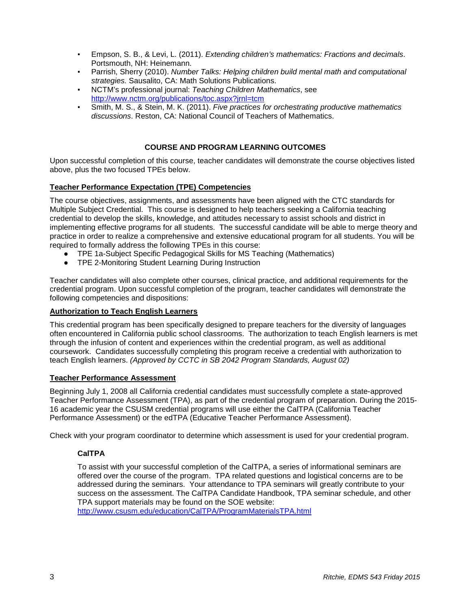- Empson, S. B., & Levi, L. (2011). *Extending children's mathematics: Fractions and decimals*. Portsmouth, NH: Heinemann.
- Parrish, Sherry (2010). *Number Talks: Helping children build mental math and computational strategies.* Sausalito, CA: Math Solutions Publications.
- NCTM's professional journal: Teaching Children Mathematics, see <http://www.nctm.org/publications/toc.aspx?jrnl=tcm>
- Smith, M. S., & Stein, M. K. (2011). *Five practices for orchestrating productive mathematics discussions*. Reston, CA: National Council of Teachers of Mathematics.

## **COURSE AND PROGRAM LEARNING OUTCOMES**

Upon successful completion of this course, teacher candidates will demonstrate the course objectives listed above, plus the two focused TPEs below.

### **Teacher Performance Expectation (TPE) Competencies**

The course objectives, assignments, and assessments have been aligned with the CTC standards for Multiple Subject Credential. This course is designed to help teachers seeking a California teaching credential to develop the skills, knowledge, and attitudes necessary to assist schools and district in implementing effective programs for all students. The successful candidate will be able to merge theory and practice in order to realize a comprehensive and extensive educational program for all students. You will be required to formally address the following TPEs in this course:

- TPE 1a-Subject Specific Pedagogical Skills for MS Teaching (Mathematics)
- TPE 2-Monitoring Student Learning During Instruction

Teacher candidates will also complete other courses, clinical practice, and additional requirements for the credential program. Upon successful completion of the program, teacher candidates will demonstrate the following competencies and dispositions:

#### **Authorization to Teach English Learners**

This credential program has been specifically designed to prepare teachers for the diversity of languages often encountered in California public school classrooms. The authorization to teach English learners is met through the infusion of content and experiences within the credential program, as well as additional coursework. Candidates successfully completing this program receive a credential with authorization to teach English learners. *(Approved by CCTC in SB 2042 Program Standards, August 02)*

#### **Teacher Performance Assessment**

Beginning July 1, 2008 all California credential candidates must successfully complete a state-approved Teacher Performance Assessment (TPA), as part of the credential program of preparation. During the 2015- 16 academic year the CSUSM credential programs will use either the CalTPA (California Teacher Performance Assessment) or the edTPA (Educative Teacher Performance Assessment).

Check with your program coordinator to determine which assessment is used for your credential program.

### **CalTPA**

To assist with your successful completion of the CalTPA, a series of informational seminars are offered over the course of the program. TPA related questions and logistical concerns are to be addressed during the seminars. Your attendance to TPA seminars will greatly contribute to your success on the assessment. The CalTPA Candidate Handbook, TPA seminar schedule, and other TPA support materials may be found on the SOE website: <http://www.csusm.edu/education/CalTPA/ProgramMaterialsTPA.html>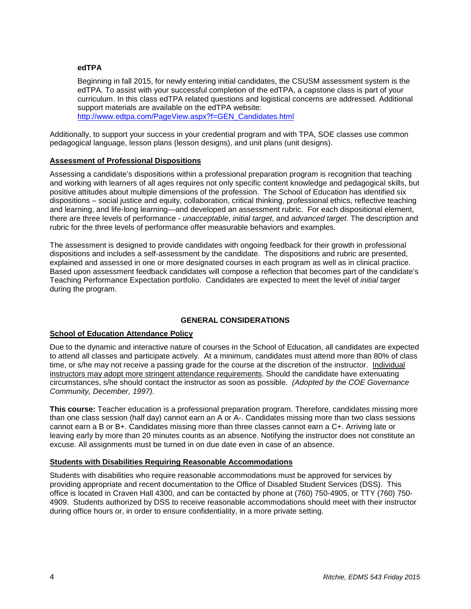### **edTPA**

Beginning in fall 2015, for newly entering initial candidates, the CSUSM assessment system is the edTPA. To assist with your successful completion of the edTPA, a capstone class is part of your curriculum. In this class edTPA related questions and logistical concerns are addressed. Additional support materials are available on the edTPA website: [http://www.edtpa.com/PageView.aspx?f=GEN\\_Candidates.html](http://www.edtpa.com/PageView.aspx?f=GEN_Candidates.html)

Additionally, to support your success in your credential program and with TPA, SOE classes use common pedagogical language, lesson plans (lesson designs), and unit plans (unit designs).

### **Assessment of Professional Dispositions**

Assessing a candidate's dispositions within a professional preparation program is recognition that teaching and working with learners of all ages requires not only specific content knowledge and pedagogical skills, but positive attitudes about multiple dimensions of the profession. The School of Education has identified six dispositions – social justice and equity, collaboration, critical thinking, professional ethics, reflective teaching and learning, and life-long learning—and developed an assessment rubric. For each dispositional element, there are three levels of performance - *unacceptable*, *initial target*, and *advanced target*. The description and rubric for the three levels of performance offer measurable behaviors and examples.

The assessment is designed to provide candidates with ongoing feedback for their growth in professional dispositions and includes a self-assessment by the candidate. The dispositions and rubric are presented, explained and assessed in one or more designated courses in each program as well as in clinical practice. Based upon assessment feedback candidates will compose a reflection that becomes part of the candidate's Teaching Performance Expectation portfolio. Candidates are expected to meet the level of *initial target* during the program.

#### **GENERAL CONSIDERATIONS**

## **School of Education Attendance Policy**

Due to the dynamic and interactive nature of courses in the School of Education, all candidates are expected to attend all classes and participate actively. At a minimum, candidates must attend more than 80% of class time, or s/he may not receive a passing grade for the course at the discretion of the instructor. Individual instructors may adopt more stringent attendance requirements. Should the candidate have extenuating circumstances, s/he should contact the instructor as soon as possible. *(Adopted by the COE Governance Community, December, 1997).*

**This course:** Teacher education is a professional preparation program. Therefore, candidates missing more than one class session (half day) cannot earn an A or A-. Candidates missing more than two class sessions cannot earn a B or B+. Candidates missing more than three classes cannot earn a C+. Arriving late or leaving early by more than 20 minutes counts as an absence. Notifying the instructor does not constitute an excuse. All assignments must be turned in on due date even in case of an absence.

#### **Students with Disabilities Requiring Reasonable Accommodations**

Students with disabilities who require reasonable accommodations must be approved for services by providing appropriate and recent documentation to the Office of Disabled Student Services (DSS). This office is located in Craven Hall 4300, and can be contacted by phone at (760) 750-4905, or TTY (760) 750- 4909. Students authorized by DSS to receive reasonable accommodations should meet with their instructor during office hours or, in order to ensure confidentiality, in a more private setting.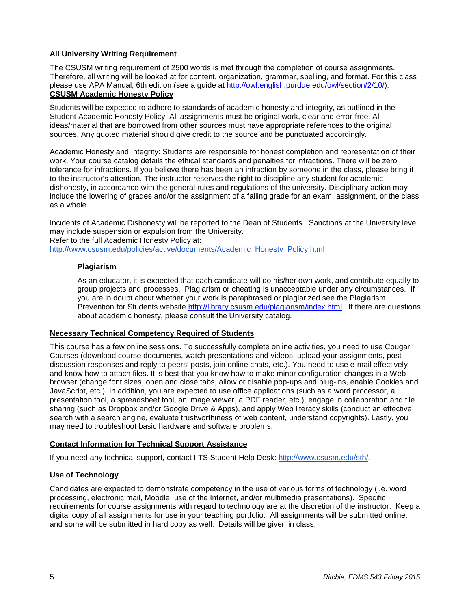## **All University Writing Requirement**

The CSUSM writing requirement of 2500 words is met through the completion of course assignments. Therefore, all writing will be looked at for content, organization, grammar, spelling, and format. For this class please use APA Manual, 6th edition (see a guide at [http://owl.english.purdue.edu/owl/section/2/10/\)](http://owl.english.purdue.edu/owl/section/2/10/). **CSUSM Academic Honesty Policy**

Students will be expected to adhere to standards of academic honesty and integrity, as outlined in the Student Academic Honesty Policy. All assignments must be original work, clear and error-free. All ideas/material that are borrowed from other sources must have appropriate references to the original sources. Any quoted material should give credit to the source and be punctuated accordingly.

Academic Honesty and Integrity: Students are responsible for honest completion and representation of their work. Your course catalog details the ethical standards and penalties for infractions. There will be zero tolerance for infractions. If you believe there has been an infraction by someone in the class, please bring it to the instructor's attention. The instructor reserves the right to discipline any student for academic dishonesty, in accordance with the general rules and regulations of the university. Disciplinary action may include the lowering of grades and/or the assignment of a failing grade for an exam, assignment, or the class as a whole.

Incidents of Academic Dishonesty will be reported to the Dean of Students. Sanctions at the University level may include suspension or expulsion from the University.

Refer to the full Academic Honesty Policy at[:](http://www.csusm.edu/policies/active/documents/Academic_Honesty_Policy.html)

[http://www.csusm.edu/policies/active/documents/Academic\\_Honesty\\_Policy.html](http://www.csusm.edu/policies/active/documents/Academic_Honesty_Policy.html)

### **Plagiarism**

As an educator, it is expected that each candidate will do his/her own work, and contribute equally to group projects and processes. Plagiarism or cheating is unacceptable under any circumstances. If you are in doubt about whether your work is paraphrased or plagiarized see the Plagiarism Prevention for Students website [http://library.csusm.edu/plagiarism/index.html.](http://library.csusm.edu/plagiarism/index.html) If there are questions about academic honesty, please consult the University catalog.

## **Necessary Technical Competency Required of Students**

This course has a few online sessions. To successfully complete online activities, you need to use Cougar Courses (download course documents, watch presentations and videos, upload your assignments, post discussion responses and reply to peers' posts, join online chats, etc.). You need to use e-mail effectively and know how to attach files. It is best that you know how to make minor configuration changes in a Web browser (change font sizes, open and close tabs, allow or disable pop-ups and plug-ins, enable Cookies and JavaScript, etc.). In addition, you are expected to use office applications (such as a word processor, a presentation tool, a spreadsheet tool, an image viewer, a PDF reader, etc.), engage in collaboration and file sharing (such as Dropbox and/or Google Drive & Apps), and apply Web literacy skills (conduct an effective search with a search engine, evaluate trustworthiness of web content, understand copyrights). Lastly, you may need to troubleshoot basic hardware and software problems.

## **Contact Information for Technical Support Assistance**

If you need any technical support, contact IITS Student Help Desk[:](http://www.csusm.edu/sth/) [http://www.csusm.edu/sth/.](http://www.csusm.edu/sth/)

## **Use of Technology**

Candidates are expected to demonstrate competency in the use of various forms of technology (i.e. word processing, electronic mail, Moodle, use of the Internet, and/or multimedia presentations). Specific requirements for course assignments with regard to technology are at the discretion of the instructor. Keep a digital copy of all assignments for use in your teaching portfolio. All assignments will be submitted online, and some will be submitted in hard copy as well. Details will be given in class.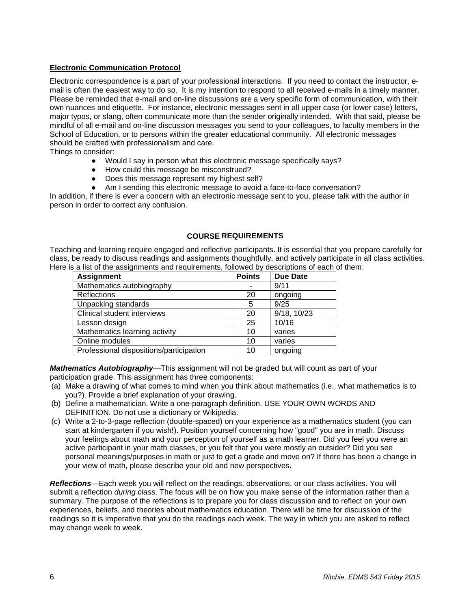## **Electronic Communication Protocol**

Electronic correspondence is a part of your professional interactions. If you need to contact the instructor, email is often the easiest way to do so. It is my intention to respond to all received e-mails in a timely manner. Please be reminded that e-mail and on-line discussions are a very specific form of communication, with their own nuances and etiquette. For instance, electronic messages sent in all upper case (or lower case) letters, major typos, or slang, often communicate more than the sender originally intended. With that said, please be mindful of all e-mail and on-line discussion messages you send to your colleagues, to faculty members in the School of Education, or to persons within the greater educational community. All electronic messages should be crafted with professionalism and care.

Things to consider:

- Would I say in person what this electronic message specifically says?
- How could this message be misconstrued?
- Does this message represent my highest self?
- Am I sending this electronic message to avoid a face-to-face conversation?

In addition, if there is ever a concern with an electronic message sent to you, please talk with the author in person in order to correct any confusion.

#### **COURSE REQUIREMENTS**

Teaching and learning require engaged and reflective participants. It is essential that you prepare carefully for class, be ready to discuss readings and assignments thoughtfully, and actively participate in all class activities. Here is a list of the assignments and requirements, followed by descriptions of each of them:

| <b>Assignment</b>                       | <b>Points</b> | <b>Due Date</b> |
|-----------------------------------------|---------------|-----------------|
| Mathematics autobiography               |               | 9/11            |
| Reflections                             | 20            | ongoing         |
| Unpacking standards                     | 5             | 9/25            |
| Clinical student interviews             | 20            | 9/18, 10/23     |
| Lesson design                           | 25            | 10/16           |
| Mathematics learning activity           | 10            | varies          |
| Online modules                          | 10            | varies          |
| Professional dispositions/participation | 10            | ongoing         |

*Mathematics Autobiography*—This assignment will not be graded but will count as part of your participation grade. This assignment has three components:

- (a) Make a drawing of what comes to mind when you think about mathematics (i.e., what mathematics is to you?). Provide a brief explanation of your drawing.
- (b) Define a mathematician. Write a one-paragraph definition. USE YOUR OWN WORDS AND DEFINITION. Do not use a dictionary or Wikipedia.
- (c) Write a 2-to-3-page reflection (double-spaced) on your experience as a mathematics student (you can start at kindergarten if you wish!). Position yourself concerning how "good" you are in math. Discuss your feelings about math and your perception of yourself as a math learner. Did you feel you were an active participant in your math classes, or you felt that you were mostly an outsider? Did you see personal meanings/purposes in math or just to get a grade and move on? If there has been a change in your view of math, please describe your old and new perspectives.

*Reflections*—Each week you will reflect on the readings, observations, or our class activities. You will submit a reflection *during class*. The focus will be on how you make sense of the information rather than a summary. The purpose of the reflections is to prepare you for class discussion and to reflect on your own experiences, beliefs, and theories about mathematics education. There will be time for discussion of the readings so it is imperative that you do the readings each week. The way in which you are asked to reflect may change week to week.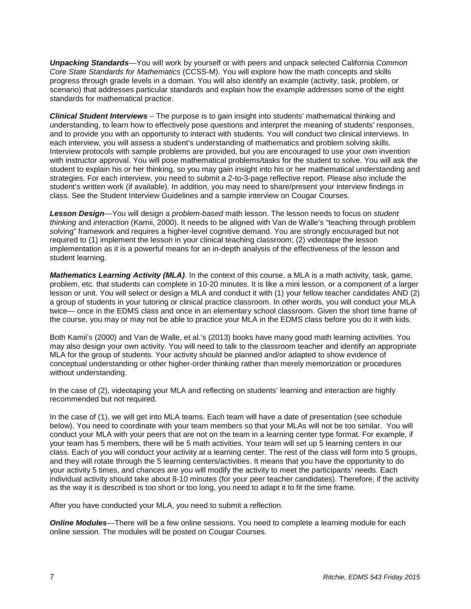*Unpacking Standards*—You will work by yourself or with peers and unpack selected California *Common Core State Standards for Mathematics* (CCSS-M). You will explore how the math concepts and skills progress through grade levels in a domain. You will also identify an example (activity, task, problem, or scenario) that addresses particular standards and explain how the example addresses some of the eight standards for mathematical practice.

*Clinical Student Interviews* – The purpose is to gain insight into students' mathematical thinking and understanding, to learn how to effectively pose questions and interpret the meaning of students' responses, and to provide you with an opportunity to interact with students. You will conduct two clinical interviews. In each interview, you will assess a student's understanding of mathematics and problem solving skills. Interview protocols with sample problems are provided, but you are encouraged to use your own invention with instructor approval. You will pose mathematical problems/tasks for the student to solve. You will ask the student to explain his or her thinking, so you may gain insight into his or her mathematical understanding and strategies. For each interview, you need to submit a 2-to-3-page reflective report. Please also include the student's written work (if available). In addition, you may need to share/present your interview findings in class. See the Student Interview Guidelines and a sample interview on Cougar Courses.

*Lesson Design*—You will design a *problem-based* math lesson. The lesson needs to focus on *student thinking* and *interaction* (Kamii, 2000). It needs to be aligned with Van de Walle's "teaching through problem solving" framework and requires a higher-level cognitive demand. You are strongly encouraged but not required to (1) implement the lesson in your clinical teaching classroom; (2) videotape the lesson implementation as it is a powerful means for an in-depth analysis of the effectiveness of the lesson and student learning.

*Mathematics Learning Activity (MLA)*. In the context of this course, a MLA is a math activity, task, game, problem, etc. that students can complete in 10-20 minutes. It is like a mini lesson, or a component of a larger lesson or unit. You will select or design a MLA and conduct it with (1) your fellow teacher candidates AND (2) a group of students in your tutoring or clinical practice classroom. In other words, you will conduct your MLA twice— once in the EDMS class and once in an elementary school classroom. Given the short time frame of the course, you may or may not be able to practice your MLA in the EDMS class before you do it with kids.

Both Kamii's (2000) and Van de Walle, et al.'s (2013) books have many good math learning activities. You may also design your own activity. You will need to talk to the classroom teacher and identify an appropriate MLA for the group of students. Your activity should be planned and/or adapted to show evidence of conceptual understanding or other higher-order thinking rather than merely memorization or procedures without understanding.

In the case of (2), videotaping your MLA and reflecting on students' learning and interaction are highly recommended but not required.

In the case of (1), we will get into MLA teams. Each team will have a date of presentation (see schedule below). You need to coordinate with your team members so that your MLAs will not be too similar. You will conduct your MLA with your peers that are not on the team in a learning center type format. For example, if your team has 5 members, there will be 5 math activities. Your team will set up 5 learning centers in our class. Each of you will conduct your activity at a learning center. The rest of the class will form into 5 groups, and they will rotate through the 5 learning centers/activities. It means that you have the opportunity to do your activity 5 times, and chances are you will modify the activity to meet the participants' needs. Each individual activity should take about 8-10 minutes (for your peer teacher candidates). Therefore, if the activity as the way it is described is too short or too long, you need to adapt it to fit the time frame.

After you have conducted your MLA, you need to submit a reflection.

**Online Modules**—There will be a few online sessions. You need to complete a learning module for each online session. The modules will be posted on Cougar Courses.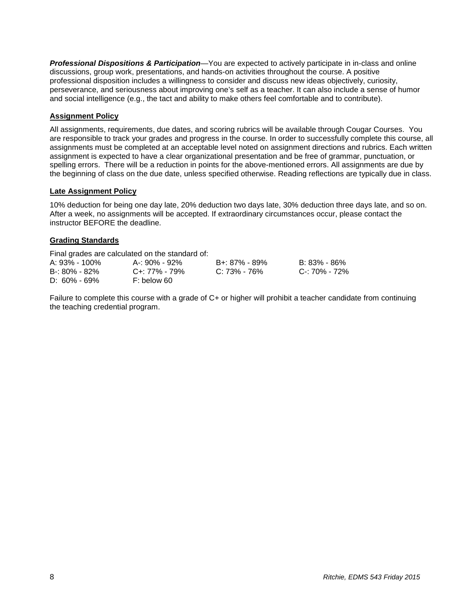*Professional Dispositions & Participation*—You are expected to actively participate in in-class and online discussions, group work, presentations, and hands-on activities throughout the course. A positive professional disposition includes a willingness to consider and discuss new ideas objectively, curiosity, perseverance, and seriousness about improving one's self as a teacher. It can also include a sense of humor and social intelligence (e.g., the tact and ability to make others feel comfortable and to contribute).

## **Assignment Policy**

All assignments, requirements, due dates, and scoring rubrics will be available through Cougar Courses. You are responsible to track your grades and progress in the course. In order to successfully complete this course, all assignments must be completed at an acceptable level noted on assignment directions and rubrics. Each written assignment is expected to have a clear organizational presentation and be free of grammar, punctuation, or spelling errors. There will be a reduction in points for the above-mentioned errors. All assignments are due by the beginning of class on the due date, unless specified otherwise. Reading reflections are typically due in class.

#### **Late Assignment Policy**

10% deduction for being one day late, 20% deduction two days late, 30% deduction three days late, and so on. After a week, no assignments will be accepted. If extraordinary circumstances occur, please contact the instructor BEFORE the deadline.

### **Grading Standards**

Final grades are calculated on the standard of:

| A: 93% - 100%     | A-: 90% - 92% | B+: 87% - 89% | B: 83% - 86%  |
|-------------------|---------------|---------------|---------------|
| $B - 80\% - 82\%$ | C+: 77% - 79% | C: 73% - 76%  | C-: 70% - 72% |
| $D: 60\% - 69\%$  | F: below 60   |               |               |

Failure to complete this course with a grade of C+ or higher will prohibit a teacher candidate from continuing the teaching credential program.